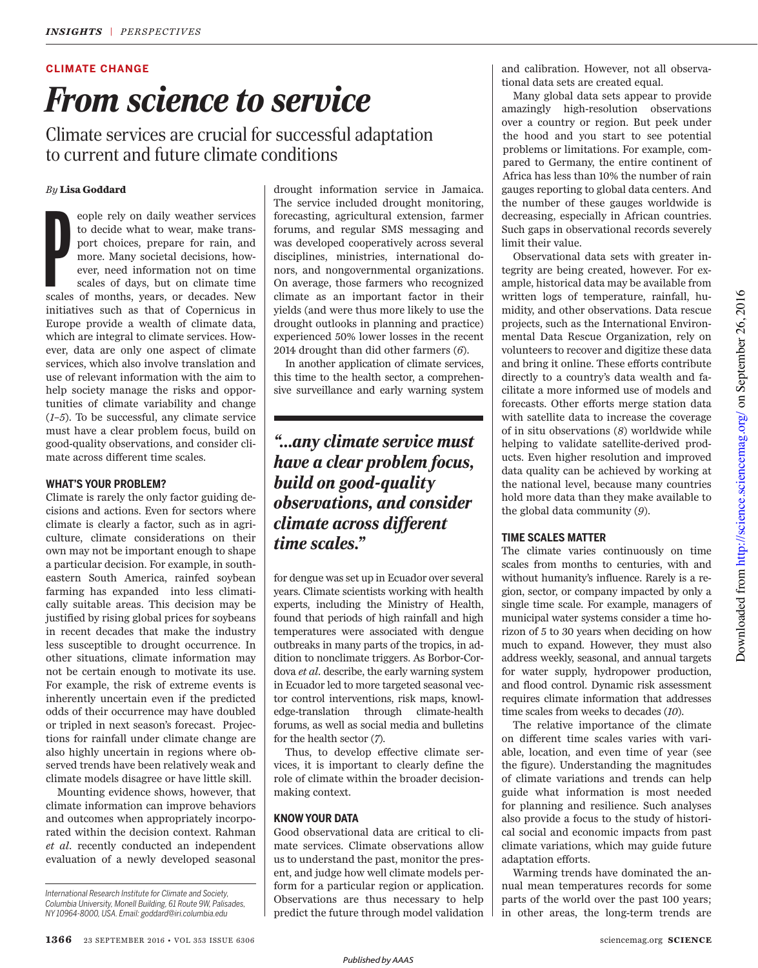#### **CLIMATE CHANGE**

# *From science to service*

Climate services are crucial for successful adaptation to current and future climate conditions

#### *By* **Lisa Goddard**

 $\sum_{y}$ eople rely on daily weather services to decide what to wear, make transport choices, prepare for rain, and more. Many societal decisions, however, need information not on time scales of days, but on climate time scales of months, years, or decades. New initiatives such as that of Copernicus in Europe provide a wealth of climate data, which are integral to climate services. However, data are only one aspect of climate services, which also involve translation and use of relevant information with the aim to help society manage the risks and opportunities of climate variability and change (*1*–*5*). To be successful, any climate service must have a clear problem focus, build on good-quality observations, and consider climate across different time scales.

#### **WHAT'S YOUR PROBLEM?**

Climate is rarely the only factor guiding decisions and actions. Even for sectors where climate is clearly a factor, such as in agriculture, climate considerations on their own may not be important enough to shape a particular decision. For example, in southeastern South America, rainfed soybean farming has expanded into less climatically suitable areas. This decision may be justified by rising global prices for soybeans in recent decades that make the industry less susceptible to drought occurrence. In other situations, climate information may not be certain enough to motivate its use. For example, the risk of extreme events is inherently uncertain even if the predicted odds of their occurrence may have doubled or tripled in next season's forecast. Projections for rainfall under climate change are also highly uncertain in regions where observed trends have been relatively weak and climate models disagree or have little skill.

Mounting evidence shows, however, that climate information can improve behaviors and outcomes when appropriately incorporated within the decision context. Rahman *et al.* recently conducted an independent evaluation of a newly developed seasonal

drought information service in Jamaica. The service included drought monitoring, forecasting, agricultural extension, farmer forums, and regular SMS messaging and was developed cooperatively across several disciplines, ministries, international donors, and nongovernmental organizations. On average, those farmers who recognized climate as an important factor in their yields (and were thus more likely to use the drought outlooks in planning and practice) experienced 50% lower losses in the recent 2014 drought than did other farmers (*6*).

In another application of climate services, this time to the health sector, a comprehensive surveillance and early warning system

## *"…any climate service must have a clear problem focus, build on good-quality observations, and consider climate across different time scales."*

for dengue was set up in Ecuador over several years. Climate scientists working with health experts, including the Ministry of Health, found that periods of high rainfall and high temperatures were associated with dengue outbreaks in many parts of the tropics, in addition to nonclimate triggers. As Borbor-Cordova *et al.* describe, the early warning system in Ecuador led to more targeted seasonal vector control interventions, risk maps, knowledge-translation through climate-health forums, as well as social media and bulletins for the health sector (*7*).

Thus, to develop effective climate services, it is important to clearly define the role of climate within the broader decisionmaking context.

#### **KNOW YOUR DATA**

Good observational data are critical to climate services. Climate observations allow us to understand the past, monitor the present, and judge how well climate models perform for a particular region or application. Observations are thus necessary to help predict the future through model validation and calibration. However, not all observational data sets are created equal.

Many global data sets appear to provide amazingly high-resolution observations over a country or region. But peek under the hood and you start to see potential problems or limitations. For example, compared to Germany, the entire continent of Africa has less than 10% the number of rain gauges reporting to global data centers. And the number of these gauges worldwide is decreasing, especially in African countries. Such gaps in observational records severely limit their value.

Observational data sets with greater integrity are being created, however. For example, historical data may be available from written logs of temperature, rainfall, humidity, and other observations. Data rescue projects, such as the International Environmental Data Rescue Organization, rely on volunteers to recover and digitize these data and bring it online. These efforts contribute directly to a country's data wealth and facilitate a more informed use of models and forecasts. Other efforts merge station data with satellite data to increase the coverage of in situ observations (*8*) worldwide while helping to validate satellite-derived products. Even higher resolution and improved data quality can be achieved by working at the national level, because many countries hold more data than they make available to the global data community (*9*).

#### **TIME SCALES MATTER**

The climate varies continuously on time scales from months to centuries, with and without humanity's influence. Rarely is a region, sector, or company impacted by only a single time scale. For example, managers of municipal water systems consider a time horizon of 5 to 30 years when deciding on how much to expand. However, they must also address weekly, seasonal, and annual targets for water supply, hydropower production, and flood control. Dynamic risk assessment requires climate information that addresses time scales from weeks to decades (*10*).

The relative importance of the climate on different time scales varies with variable, location, and even time of year (see the figure). Understanding the magnitudes of climate variations and trends can help guide what information is most needed for planning and resilience. Such analyses also provide a focus to the study of historical social and economic impacts from past climate variations, which may guide future adaptation efforts.

Warming trends have dominated the annual mean temperatures records for some parts of the world over the past 100 years; in other areas, the long-term trends are

*International Research Institute for Climate and Society, Columbia University, Monell Building, 61 Route 9W, Palisades, NY 10964-8000, USA. Email: goddard@iri.columbia.edu*